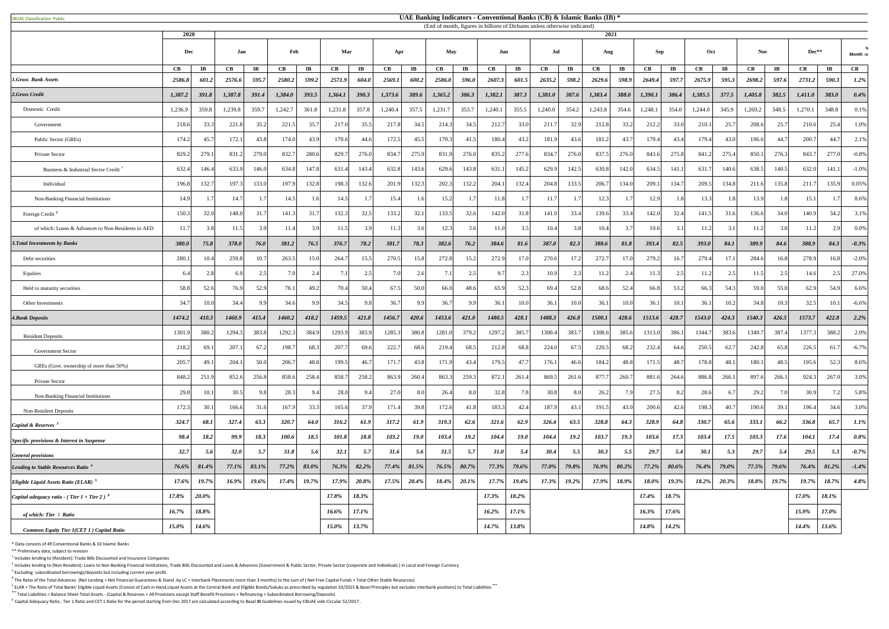|  | <b>CBUAE Classification: Public</b> |  |
|--|-------------------------------------|--|
|--|-------------------------------------|--|

|                                                           |                        | (End of month, figures in billions of Dirhams unless otherwise indicated)<br>2020<br>2021 |          |                        |          |                        |          |                        |          |                        |          |                       |             |                       |          |                        |          |                        |         |                        |                        |                        |                        |                       |          |                        |                        |
|-----------------------------------------------------------|------------------------|-------------------------------------------------------------------------------------------|----------|------------------------|----------|------------------------|----------|------------------------|----------|------------------------|----------|-----------------------|-------------|-----------------------|----------|------------------------|----------|------------------------|---------|------------------------|------------------------|------------------------|------------------------|-----------------------|----------|------------------------|------------------------|
|                                                           |                        | Jan<br>Dec                                                                                |          | Feb                    |          | Mar                    |          | Apr                    |          | <b>May</b><br>Jun      |          |                       | Jul         |                       |          | Aug                    |          | <b>Sep</b>             | Oct     |                        | <b>Nov</b>             |                        | Dec**                  |                       | Month -o |                        |                        |
|                                                           | $\mathbf{C}\mathbf{B}$ | $\mathbf{I} \mathbf{B}$                                                                   | CB       | $\mathbf{I}\mathbf{B}$ | CB       | $\mathbf{I}\mathbf{B}$ | CB       | $\mathbf{I}\mathbf{B}$ | CB       | $\mathbf{I}\mathbf{B}$ | CB       | $\mathbf{I}$ <b>B</b> | CB          | $\mathbf{I}$ <b>B</b> | CB       | $\mathbf{I}\mathbf{B}$ | CB       | $\mathbf{I}\mathbf{B}$ | CB      | $\mathbf{I}\mathbf{B}$ | $\mathbf{C}\mathbf{B}$ | $\mathbf{I}\mathbf{B}$ | $\mathbf{C}\mathbf{B}$ | $\mathbf{I}$ <b>B</b> | CB       | $\mathbf{I}\mathbf{B}$ | $\mathbf{C}\mathbf{B}$ |
| 1.Gross Bank Assets                                       | 2586.8                 | 601.2                                                                                     | 2576.6   | 595.7                  | 2580.2   | 599.2                  | 2571.9   | 604.0                  | 2569.1   | 600.2                  | 2586.0   | 596.0                 | 2607.3      | 601.5                 | 2635.2   | 598.2                  | 2629.6   | 598.9                  | 2649.4  | 597.7                  | 2675.9                 | 595.3                  | 2698.2                 | 597.6                 | 2731.2   | 590.3                  | $1.2\%$                |
| 2.Gross Credit                                            | 1,387.2                | 391.8                                                                                     | 1,387.8  | 391.4                  | 1,384.0  | 393.5                  | 1,364.1  | 390.3                  | 1,373.6  | 389.6                  | 1,365.2  | 386.3                 | 1,382.1     | 387.3                 | 1,381.0  | 387.6                  | 1,383.4  | 388.0                  | 1,390.1 | 386.4                  | 1,385.5                | 377.5                  | 1,405.8                | 382.5                 | 1,411.0  | 383.0                  | 0.4%                   |
| Domestic Credit                                           | 1,236.9                | 359.8                                                                                     | 1,239.8  | 359.7                  | 1,242.7  | 361.8                  | 1,231.8  | 357.8                  | 1,240.4  | 357.5                  | 1,231.7  | 353.7                 | 1,240.1     | 355.5                 | 1,240.0  | 354.2                  | 1,243.8  | 354.6                  | 1,248.  | 354.0                  | 1,244.0                | 345.9                  | 1,269.2                | 348.5                 | 1,270.1  | 348.8                  | 0.1%                   |
| Government                                                | 218.6                  | 33.3                                                                                      | 221.8    | 35.2                   | 221.5    | 35.7                   | 217.0    | 35.5                   | 217.8    | 34.5                   | 214.3    | 34.5                  | 212.7       | 33.0                  | 211.7    | 32.9                   | 212.8    | 33.2                   | 212.2   | 33.0                   | 210.1                  | 25.7                   | 208.6                  | 25.7                  | 210.6    | 25.4                   | 1.0%                   |
| Public Sector (GREs)                                      | 174.2                  | 45.7                                                                                      | 172.1    | 43.8                   | 174.0    | 43.9                   | 170.6    | 44.6                   | 172.5    | 45.5                   | 170.3    | 41.5                  | 180.4       | 43.2                  | 181.9    | 43.6                   | 181.2    | 43.'                   | 179.4   | 43.4                   | 179.4                  | 43.0                   | 196.6                  | 44.7                  | 200.7    | 44.7                   | 2.1%                   |
| Private Sector                                            | 829.2                  | 279.1                                                                                     | 831.2    | 279.0                  | 832.     | 280.6                  | 829.7    | 276.0                  | 834.7    | 275.9                  | 831.9    | 276.0                 | 835.2       | 277.6                 | 834.7    | 276.0                  | 837.5    | 276.0                  | 843.6   | 275.8                  | 841.2                  | 275.4                  | 850.                   | 276.3                 | 843.7    | 277.0                  | $-0.8\%$               |
| Business & Industrial Sector Credit                       | 632.4                  | 146.4                                                                                     | 633.9    | 146.0                  | 634.8    | 147.8                  | 631.4    | 143.4                  | 632.8    | 143.6                  | 629.6    | 143.8                 | 631.        | 145.2                 | 629.9    | 142.5                  | 630.8    | 142.0                  | 634.5   | 141.1                  | 631.7                  | 140.6                  | 638.5                  | 140.5                 | 632.0    | 141.1                  | $-1.0\%$               |
| Individual                                                | 196.8                  | 132.7                                                                                     | 197.3    | 133.0                  | 197.9    | 132.8                  | 198.3    | 132.6                  | 201.9    | 132.3                  | 202.3    | 132.2                 | 204.1       | 132.4                 | 204.8    | 133.5                  | 206.7    | 134.0                  | 209.1   | 134.7                  | 209.5                  | 134.8                  | 211.6                  | 135.8                 | 211.7    | 135.9                  | 0.05%                  |
| Non-Banking Financial Institutions                        | 14.9                   |                                                                                           | 14.7     |                        | 14.5     |                        | 14.5     |                        | 15.4     | -61                    | 15.2     |                       |             |                       | 11.7     |                        | 12.3     |                        | 12.9    | 1.8                    | 13.3                   | 1.8                    | 13.9                   |                       | 15.1     |                        | 8.6%                   |
| Foreign Credit <sup>2</sup>                               | 150.3                  | 32.0                                                                                      | 148.0    | 31.7                   | 141.3    | 31.7                   | 132.3    | 32.5                   | 133.2    | 32.1                   | 133.5    | 32.6                  | 142.0       | 31.8                  | 141.0    | 33.4                   | 139.6    | 33.4                   | 142.0   | 32.4                   | 141.5                  | 31.6                   | 136.6                  | 34.0                  | 140.9    | 34.2                   | 3.1%                   |
| of which: Loans & Advances to Non-Residents in AED        | 11.7                   |                                                                                           | 11.5     | 3.9                    | 11.4     |                        | 11.5     | 3.9                    | 11.3     | 3.6                    | 12.3     | 3.6                   |             | 3.5                   | 10.4     | 3.8                    | 10.4     |                        | 10.6    | 3.1                    | 11.2                   | 3.1                    | 11.2                   |                       | 11.2     |                        | $0.0\%$                |
| 3. Total Investments by Banks                             | 380.0                  | 75.8                                                                                      | 378.0    | 76.0                   | 381.2    | 76.5                   | 376.7    | 78.2                   | 381.7    | 78.3                   | 382.6    | 76.2                  | 384.6       | 81.6                  | 387.0    | 82.3                   | 388.6    | 81.8                   | 393.4   | 82.5                   | 393.0                  | 84.1                   | 389.9                  | 84.6                  | 388.9    | 84.3                   | $-0.3\%$               |
| Debt securities                                           | 280.                   | 10.4                                                                                      | 259.8    | 10.7                   | 263.5    | 15.0                   | 264.7    | 15.5                   | 270.5    | 15.8                   | 272.8    | 15.2                  | 272.9       | 17.0                  | 270.6    | 17.2                   | 272.7    | 17.0                   | 279.2   | 16.7                   | 279.4                  | 17.                    | 284.6                  | 16.8                  | 278.9    | 16.8                   | $-2.0\%$               |
| Equities                                                  |                        |                                                                                           |          | 2.5                    | 7.0      |                        |          | 2.5                    |          | 2.6                    |          | 2.5                   |             |                       | 10.9     | 2.3                    | 11.2     |                        | 11.3    | 2.5                    | 11.2                   | 2.5                    | 11.5                   |                       | 14.6     | $\gamma$               | 27.0%                  |
| Held to maturity securities                               | 58.8                   | 52.6                                                                                      | 76.9     | 52.9                   | 76.1     | 49.2                   | 70.4     | 50.4                   | 67.5     | 50.0                   | 66.0     | 48.6                  | 65.9        | 52.3                  | 69.4     | 52.8                   | 68.6     | 52.4                   | 66.8    | 53.2                   | 66.3                   | 54.3                   | 59.0                   | 55.0                  | 62.9     | 54.9                   | 6.6%                   |
| Other Investments                                         | 34.7                   | 10 <sub>c</sub>                                                                           | 34.4     | 9.9                    | 34.6     | 9.9                    | 34.5     | 9.8                    | 36.7     | 9.9                    | 36.7     | 9.9                   | 36.1        | 10.0                  | 36.1     | 10.0                   | 36.      | 10.0                   | 36.1    | 10.1                   | 36.1                   | 10.2                   | 34.8                   | 10.3                  | 32.5     | 10.1                   | $-6.6%$                |
| <b>4. Bank Deposits</b>                                   | 1474.2                 | 410.3                                                                                     | 1460.9   | 415.4                  | 1460.2   | 418.2                  | 1459.5   | 421.8                  | 1456.7   | 420.6                  | 1453.6   | 421.0                 | 1480.5      | 428.1                 | 1488.3   | 426.8                  | 1500.1   | 428.6                  | 1513.6  | 428.7                  | 1543.0                 | 424.3                  | 1540.3                 | 426.5                 | 1573.7   | 422.8                  | 2.2%                   |
| <b>Resident Deposits</b>                                  | 1301.9                 | 380.2                                                                                     | 1294.3   | 383.8                  | 1292.3   | 384.9                  | 1293.9   | 383.9                  | 1285.3   | 380.8                  | 1281.0   | 379.2                 | 1297.2      | 385.                  | 1300.4   | 383.7                  | 1308.6   | 385.6                  | 1313.0  | 386.1                  | 1344.7                 | 383.6                  | 1349.                  | 387.4                 | 1377.3   | 388.2                  | 2.0%                   |
| <b>Government Sector</b>                                  | 218.2                  | 69.1                                                                                      | 207.     | 67.2                   | 198.7    | 68.3                   | 207.7    | 69.6                   | 222.7    | 68.6                   | 219.4    | 68.5                  | 212.8       | 68.8                  | 224.0    | 67.5                   | 220.5    | 68.                    | 232.4   | 64.6                   | 250.5                  | 62.7                   | 242.8                  | 65.8                  | 226.5    | 61.                    | $-6.7\%$               |
| GREs (Govt. ownership of more than 50%)                   | 205.7                  | 49.1                                                                                      | 204.1    | 50.0                   | 206.7    | 48.8                   | 199.5    | 46.7                   | 171.7    | 43.8                   | 171.9    | 43.4                  | 179.5       | 47.7                  | 176.1    | 46.6                   | 184.2    | 48.8                   | 171.5   | 48.7                   | 178.8                  | 48.1                   | 180.1                  | 48.5                  | 195.6    | 52.3                   | 8.6%                   |
| Private Sector                                            | 848.2                  | 251.9                                                                                     | 852.6    | 256.8                  | 858.6    | 258.4                  | 858.7    | 258.2                  | 863.9    | 260.4                  | 863.3    | 259.3                 | 872.1       | 261.4                 | 869.5    | 261.6                  | 877.7    | 260.                   | 881.6   | 264.6                  | 886.8                  | 266.                   | 897.6                  | 266.                  | 924.3    | 267.0                  | 3.0%                   |
| <b>Non-Banking Financial Institutions</b>                 | 29.8                   | 10.1                                                                                      | 30.5     | 98                     | 28.3     |                        | 28.0     | 9.4                    | 27.0     |                        | 26.4     | 8.0                   | 32.8        |                       | 30.8     | 8.0                    | 26.2     |                        | 27.51   | 8.2                    | 28.6                   | 6.                     | 29.2                   |                       | 30.9     | 7 <sup>7</sup>         | 5.8%                   |
| <b>Non-Resident Deposits</b>                              | 172.3                  | 30.1                                                                                      | 166.6    | 31.6                   | 167.9    | 33.3                   | 165.6    | 37.9                   | 171.4    | 39.8                   | 172.6    | 41.8                  | 183.3       | 42.4                  | 187.9    | 43.1                   | 191.5    | 43.0                   | 200.6   | 42.6                   | 198.3                  | 40.7                   | 190.6                  | 39.1                  | 196.4    | 34.6                   | 3.0%                   |
| Capital & Reserves <sup>3</sup>                           | 324.7                  | 68.1                                                                                      | 327.4    | 63.3                   | 320.7    | 64.0                   | 316.2    | 61.9                   | 317.2    | 61.9                   | 319.3    | 62.6                  | 321.6       | 62.9                  | 326.4    | 63.5                   | 328.8    | 64.3                   | 328.9   | 64.8                   | 330.7                  | 65.6                   | 333.1                  | 66.2                  | 336.8    | 65.7                   | $1.1\%$                |
| Specific provisions & Interest in Suspense                | 98.4                   | 18.2                                                                                      | 99.9     | 18.3                   | 100.6    | 18.5                   | 101.8    | 18.8                   | 103.2    | 19.0                   | 103.4    | 19.2                  | 104.4       | <b>19.0</b>           | 104.4    | <b>19.2</b>            | 103.7    | <b>19.3</b>            | 103.6   | 17.3                   | 103.4                  | 17.5                   | 103.3                  | 17.6                  | 104.1    | 17.4                   | $0.8\%$                |
| <b>General provisions</b>                                 | 32.7                   | 5.6                                                                                       | 32.0     | 5.7                    | 31.8     | 5.6                    | 32.1     | 5.7                    | 31.6     | 5.6                    | 31.5     | 5.7                   | <b>31.0</b> | 5.4                   | 30.4     | 5.5                    | 30.3     | 5.5                    | 29.7    | 5.4                    | 30.1                   | 5.3                    | 29.7                   | 5.4                   | 29.5     | 5.3                    | $-0.7\%$               |
| Lending to Stable Resources Ratio <sup>4</sup>            | $76.6\%$               | 81.4%                                                                                     | $77.1\%$ | 83.1%                  | $77.2\%$ | 83.0%                  | $76.3\%$ | 82.2%                  | $77.4\%$ | $81.5\%$               | $76.5\%$ | $80.7\%$              | $77.3\%$    | 79.6%                 | 77.0%    | 79.8%                  | $76.9\%$ | $80.2\%$               | 77.2%   | 80.6%                  | 76.4%                  | 79.0%                  | 77.5%                  | 79.6%                 | $76.4\%$ | 81.2%                  | $-1.4\%$               |
| <b>Eligible Liquid Assets Ratio (ELAR)</b>                | 17.6%                  | 19.7%                                                                                     | $16.9\%$ | 19.6%                  | 17.4%    | 19.7%                  | 17.9%    | 20.8%                  | 17.5%    | $20.4\%$               | $18.4\%$ | $20.1\%$              | 17.7%       | 19.4%                 | $17.3\%$ | $19.2\%$               | 17.9%    | 18.9%                  | 18.0%   | 19.3%                  | 18.2%                  | 20.3%                  | 18.8%                  | 19.7%                 | 19.7%    | 18.7%                  | 4.8%                   |
| Capital adequacy ratio - (Tier $1 +$ Tier 2) <sup>6</sup> | 17.8%                  | $20.0\%$                                                                                  |          |                        |          |                        | 17.8%    | 18.3%                  |          |                        |          |                       | 17.3%       | 18.2%                 |          |                        |          |                        | 17.4%   | 18.7%                  |                        |                        |                        |                       | 17.0%    | 18.1%                  |                        |
| of which: Tier 1 Ratio                                    | 16.7%                  | $18.8\%$                                                                                  |          |                        |          |                        | 16.6%    | 17.1%                  |          |                        |          |                       | $16.2\%$    | 17.1%                 |          |                        |          |                        | 16.3%   | 17.6%                  |                        |                        |                        |                       | 15.9%    | 17.0%                  |                        |
|                                                           | $15.0\%$               | 14.6%                                                                                     |          |                        |          |                        | 15.0%    | 13.7%                  |          |                        |          |                       | 14.7%       | 13.8%                 |          |                        |          |                        | 14.8%   | 14.2%                  |                        |                        |                        |                       | 14.4%    | 13.6%                  |                        |

\* Data consists of 49 Conventional Banks & 10 Islamic Banks

\*\* Preliminary data, subject to revision

 $<sup>1</sup>$  Includes lending to (Resident): Trade Bills Discounted and Insurance Companies</sup>

 $^2$  Includes lending to (Non Resident): Loans to Non Banking Financial Institutions, Trade Bills Discounted and Loans & Advances (Government & Public Sector, Private Sector (corporate and Individuals) in Local and Foreig  $3$  Excluding subordinated borrowings/deposits but including current year profit.

 $^4$  The Ratio of the Total Advances (Net Lending + Net Financial Guarantees & Stand -by LC + Interbank Placements more than 3 months) to the sum of (Net Free Capital Funds + Total Other Stable Resources)

<sup>5</sup> ELAR = The Ratio of Total Banks' Eligible Liquid Assets (Consist of Cash in Hand,Liquid Assets at the Central Bank and Eligible Bonds/Sukuks as prescribed by regulation 33/2015 & Basel Principles but excludes interbank

**\*\*\*** Total Liabilities = Balance Sheet Total Assets - (Capital & Reserves + All Provisions except Staff Benefit Provisions + Refinancing + Subordinated Borrowing/Deposits)

<sup>6</sup> Capital Adequacy Ratio, Tier 1 Ratio and CET 1 Ratio for the period starting from Dec 2017 are calculated according to Basel III Guidelines issued by CBUAE vide Circular 52/2017.

## **UAE Banking Indicators - Conventional Banks (CB) & Islamic Banks (IB) \***

(End of month, figures in billions of Dirhams unless otherwise indicated)